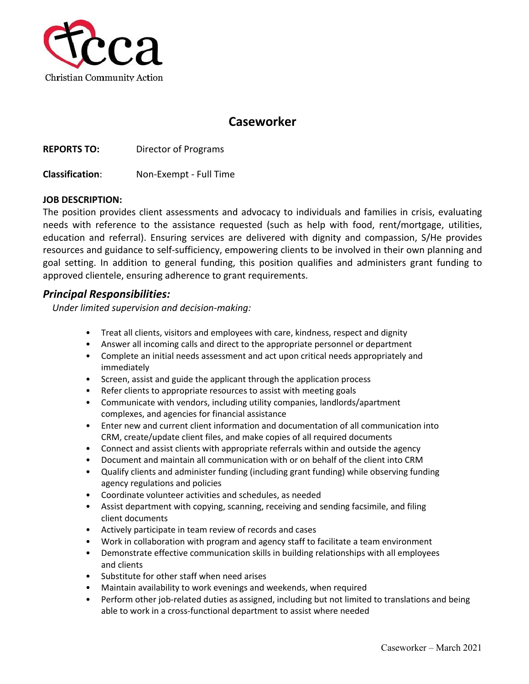

# **Caseworker**

**REPORTS TO:** Director of Programs

**Classification**: Non-Exempt - Full Time

#### **JOB DESCRIPTION:**

The position provides client assessments and advocacy to individuals and families in crisis, evaluating needs with reference to the assistance requested (such as help with food, rent/mortgage, utilities, education and referral). Ensuring services are delivered with dignity and compassion, S/He provides resources and guidance to self-sufficiency, empowering clients to be involved in their own planning and goal setting. In addition to general funding, this position qualifies and administers grant funding to approved clientele, ensuring adherence to grant requirements.

## *Principal Responsibilities:*

*Under limited supervision and decision-making:*

- Treat all clients, visitors and employees with care, kindness, respect and dignity
- Answer all incoming calls and direct to the appropriate personnel or department
- Complete an initial needs assessment and act upon critical needs appropriately and immediately
- Screen, assist and guide the applicant through the application process
- Refer clients to appropriate resources to assist with meeting goals
- Communicate with vendors, including utility companies, landlords/apartment complexes, and agencies for financial assistance
- Enter new and current client information and documentation of all communication into CRM, create/update client files, and make copies of all required documents
- Connect and assist clients with appropriate referrals within and outside the agency
- Document and maintain all communication with or on behalf of the client into CRM
- Qualify clients and administer funding (including grant funding) while observing funding agency regulations and policies
- Coordinate volunteer activities and schedules, as needed
- Assist department with copying, scanning, receiving and sending facsimile, and filing client documents
- Actively participate in team review of records and cases
- Work in collaboration with program and agency staff to facilitate a team environment
- Demonstrate effective communication skills in building relationships with all employees and clients
- Substitute for other staff when need arises
- Maintain availability to work evenings and weekends, when required
- Perform other job-related duties as assigned, including but not limited to translations and being able to work in a cross-functional department to assist where needed